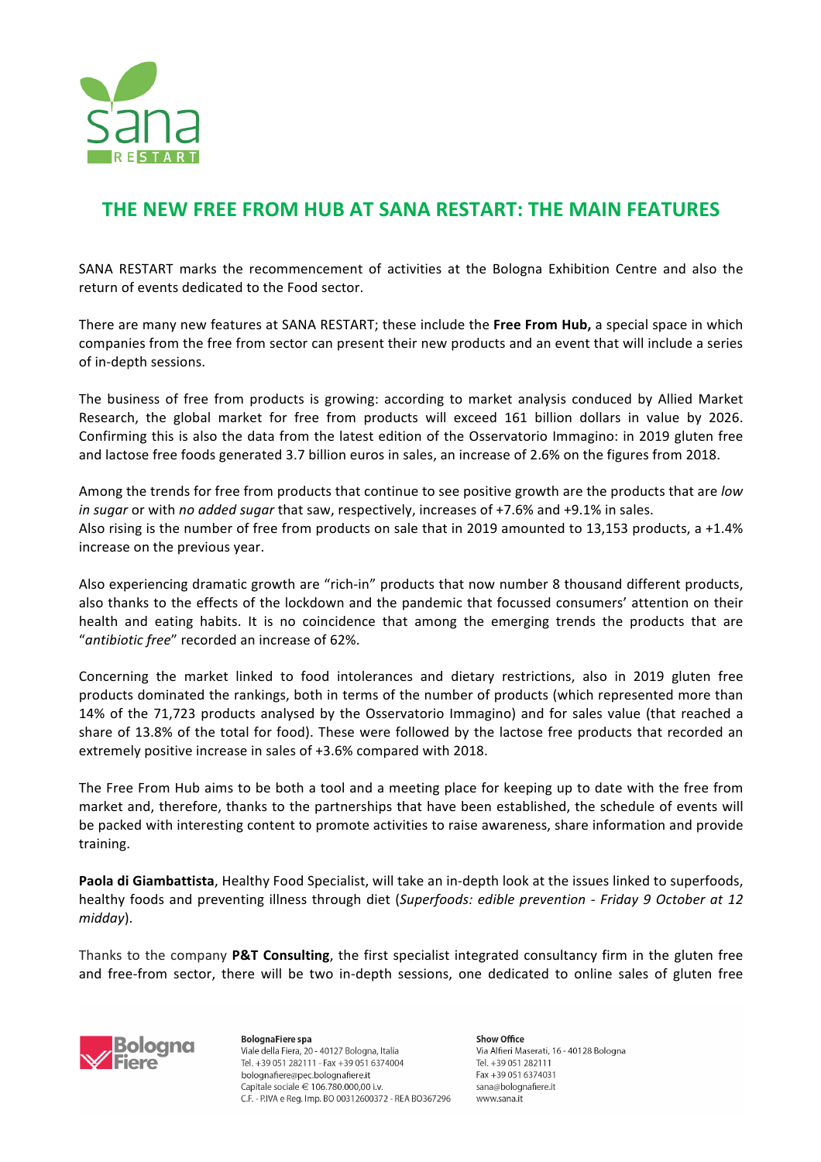

## **THE NEW FREE FROM HUB AT SANA RESTART: THE MAIN FEATURES**

SANA RESTART marks the recommencement of activities at the Bologna Exhibition Centre and also the return of events dedicated to the Food sector.

There are many new features at SANA RESTART; these include the Free From Hub, a special space in which companies from the free from sector can present their new products and an event that will include a series of in-depth sessions.

The business of free from products is growing: according to market analysis conduced by Allied Market Research, the global market for free from products will exceed 161 billion dollars in value by 2026. Confirming this is also the data from the latest edition of the Osservatorio Immagino: in 2019 gluten free and lactose free foods generated 3.7 billion euros in sales, an increase of 2.6% on the figures from 2018.

Among the trends for free from products that continue to see positive growth are the products that are *low in sugar* or with *no added sugar* that saw, respectively, increases of +7.6% and +9.1% in sales. Also rising is the number of free from products on sale that in 2019 amounted to 13,153 products, a +1.4% increase on the previous year.

Also experiencing dramatic growth are "rich-in" products that now number 8 thousand different products, also thanks to the effects of the lockdown and the pandemic that focussed consumers' attention on their health and eating habits. It is no coincidence that among the emerging trends the products that are "antibiotic free" recorded an increase of 62%.

Concerning the market linked to food intolerances and dietary restrictions, also in 2019 gluten free products dominated the rankings, both in terms of the number of products (which represented more than 14% of the 71,723 products analysed by the Osservatorio Immagino) and for sales value (that reached a share of 13.8% of the total for food). These were followed by the lactose free products that recorded an extremely positive increase in sales of  $+3.6\%$  compared with 2018.

The Free From Hub aims to be both a tool and a meeting place for keeping up to date with the free from market and, therefore, thanks to the partnerships that have been established, the schedule of events will be packed with interesting content to promote activities to raise awareness, share information and provide training.

Paola di Giambattista, Healthy Food Specialist, will take an in-depth look at the issues linked to superfoods, healthy foods and preventing illness through diet (*Superfoods: edible prevention - Friday 9 October at 12 midday*).

Thanks to the company **P&T Consulting**, the first specialist integrated consultancy firm in the gluten free and free-from sector, there will be two in-depth sessions, one dedicated to online sales of gluten free



**BolognaFiere** spa Viale della Fiera, 20 - 40127 Bologna, Italia Tel. +39 051 282111 - Fax +39 051 6374004 bolognafiere@pec.bolognafiere.it Capitale sociale € 106.780.000,00 i.v. C.F. - P.IVA e Reg. Imp. BO 00312600372 - REA BO367296 Show Office Via Alfieri Maserati, 16 - 40128 Bologna Tel +39 051 282111 Fax +39 051 6374031 sana@bolognafiere.it www.sana.it